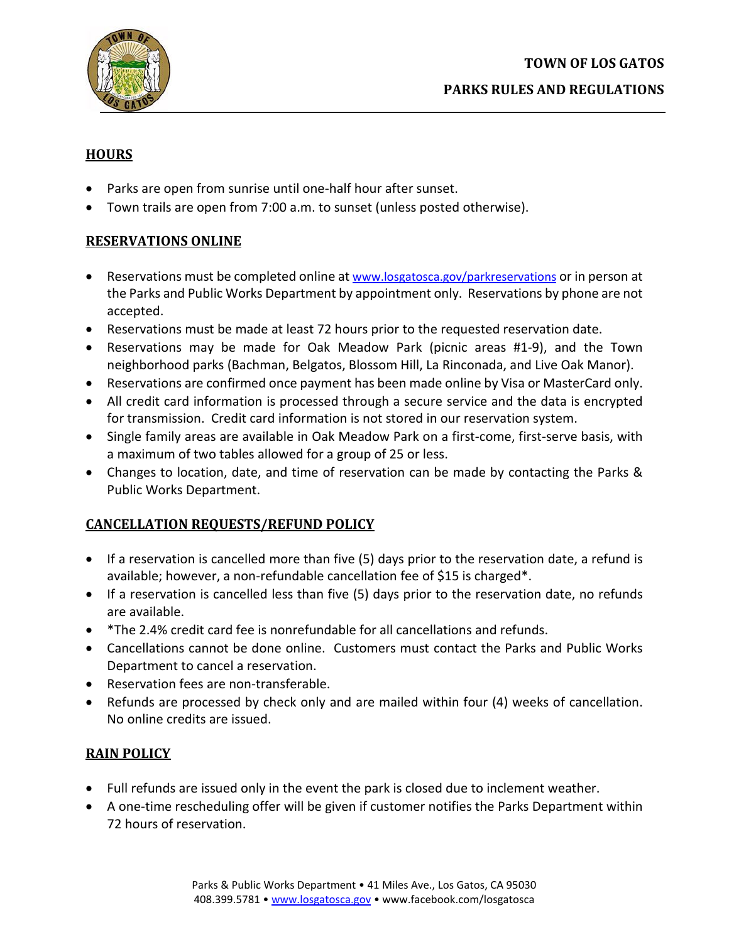

# **HOURS**

- Parks are open from sunrise until one-half hour after sunset.
- Town trails are open from 7:00 a.m. to sunset (unless posted otherwise).

## **RESERVATIONS ONLINE**

- Reservations must be completed online at [www.losgatosca.gov/parkreservations](https://www.losgatosca.gov/1084/Park-Reservations-Permits-Fees) or in person at the Parks and Public Works Department by appointment only. Reservations by phone are not accepted.
- Reservations must be made at least 72 hours prior to the requested reservation date.
- Reservations may be made for Oak Meadow Park (picnic areas #1-9), and the Town neighborhood parks (Bachman, Belgatos, Blossom Hill, La Rinconada, and Live Oak Manor).
- Reservations are confirmed once payment has been made online by Visa or MasterCard only.
- All credit card information is processed through a secure service and the data is encrypted for transmission. Credit card information is not stored in our reservation system.
- Single family areas are available in Oak Meadow Park on a first-come, first-serve basis, with a maximum of two tables allowed for a group of 25 or less.
- Changes to location, date, and time of reservation can be made by contacting the Parks & Public Works Department.

# **CANCELLATION REQUESTS/REFUND POLICY**

- If a reservation is cancelled more than five (5) days prior to the reservation date, a refund is available; however, a non-refundable cancellation fee of \$15 is charged\*.
- If a reservation is cancelled less than five (5) days prior to the reservation date, no refunds are available.
- \*The 2.4% credit card fee is nonrefundable for all cancellations and refunds.
- Cancellations cannot be done online. Customers must contact the Parks and Public Works Department to cancel a reservation.
- Reservation fees are non-transferable.
- Refunds are processed by check only and are mailed within four (4) weeks of cancellation. No online credits are issued.

# **RAIN POLICY**

- Full refunds are issued only in the event the park is closed due to inclement weather.
- A one-time rescheduling offer will be given if customer notifies the Parks Department within 72 hours of reservation.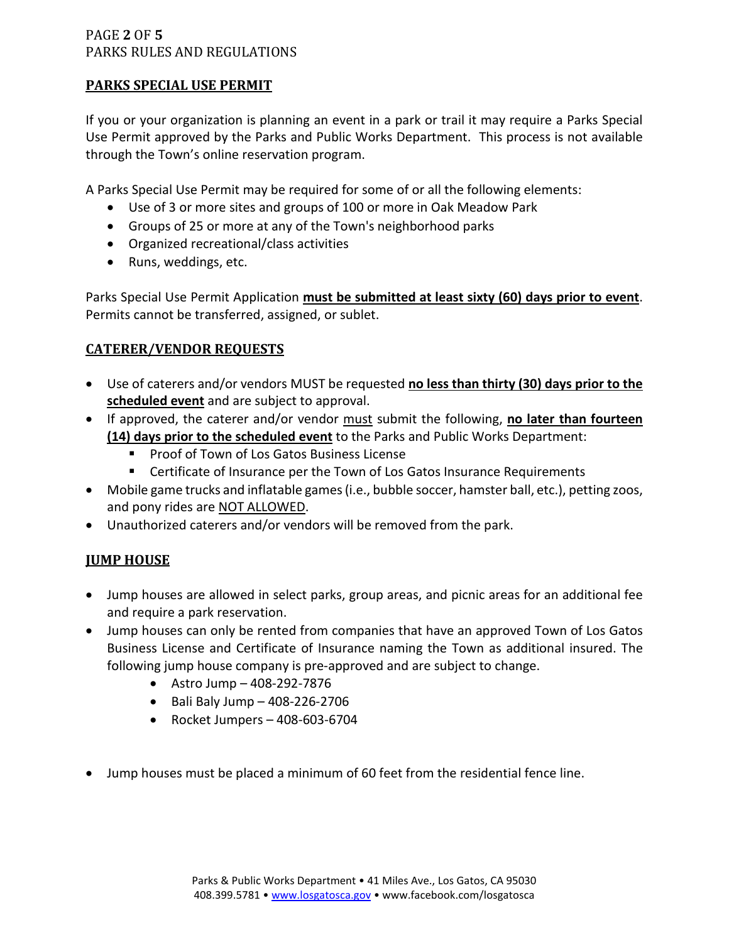### PAGE **2** OF **5** PARKS RULES AND REGULATIONS

## **PARKS SPECIAL USE PERMIT**

If you or your organization is planning an event in a park or trail it may require a Parks Special Use Permit approved by the Parks and Public Works Department. This process is not available through the Town's online reservation program.

A Parks Special Use Permit may be required for some of or all the following elements:

- Use of 3 or more sites and groups of 100 or more in Oak Meadow Park
- Groups of 25 or more at any of the Town's neighborhood parks
- Organized recreational/class activities
- Runs, weddings, etc.

Parks Special Use Permit Application **must be submitted at least sixty (60) days prior to event**. Permits cannot be transferred, assigned, or sublet.

## **CATERER/VENDOR REQUESTS**

- Use of caterers and/or vendors MUST be requested **no less than thirty (30) days prior to the scheduled event** and are subject to approval.
- If approved, the caterer and/or vendor must submit the following, **no later than fourteen (14) days prior to the scheduled event** to the Parks and Public Works Department:
	- **Proof of Town of Los Gatos Business License**
	- Certificate of Insurance per the Town of Los Gatos Insurance Requirements
- Mobile game trucks and inflatable games (i.e., bubble soccer, hamster ball, etc.), petting zoos, and pony rides are NOT ALLOWED.
- Unauthorized caterers and/or vendors will be removed from the park.

# **JUMP HOUSE**

- Jump houses are allowed in select parks, group areas, and picnic areas for an additional fee and require a park reservation.
- Jump houses can only be rented from companies that have an approved Town of Los Gatos Business License and Certificate of Insurance naming the Town as additional insured. The following jump house company is pre-approved and are subject to change.
	- Astro Jump 408-292-7876
	- Bali Baly Jump 408-226-2706
	- Rocket Jumpers 408-603-6704
- Jump houses must be placed a minimum of 60 feet from the residential fence line.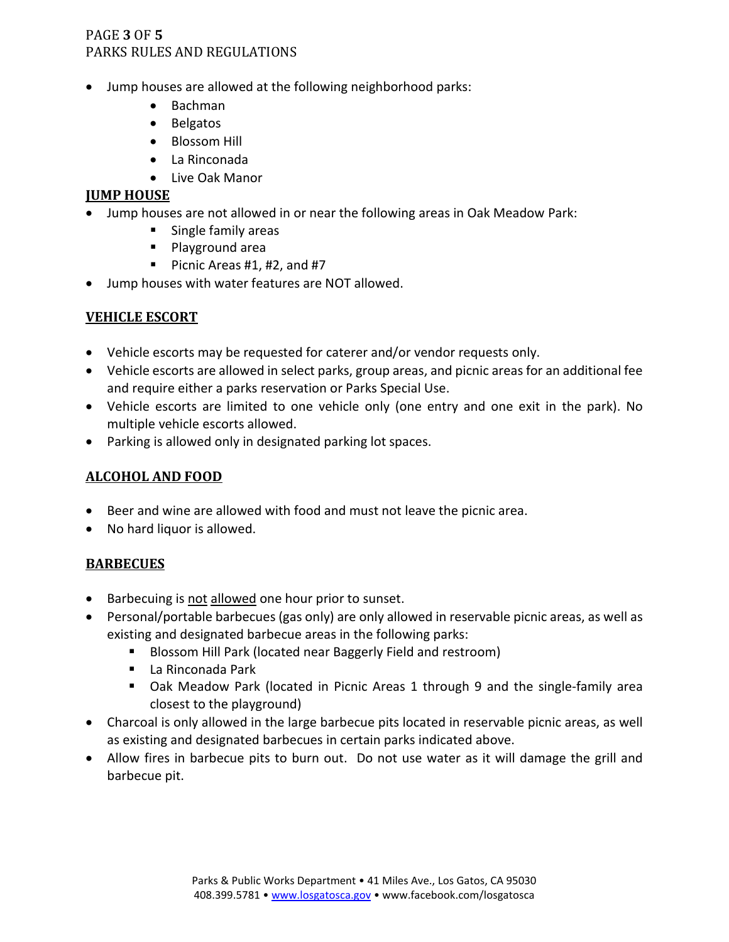## PAGE **3** OF **5** PARKS RULES AND REGULATIONS

- Jump houses are allowed at the following neighborhood parks:
	- Bachman
	- Belgatos
	- Blossom Hill
	- La Rinconada
	- Live Oak Manor

#### **JUMP HOUSE**

- Jump houses are not allowed in or near the following areas in Oak Meadow Park:
	- **Single family areas** 
		- **Playground area**
		- Picnic Areas  $#1, #2,$  and  $#7$
- Jump houses with water features are NOT allowed.

## **VEHICLE ESCORT**

- Vehicle escorts may be requested for caterer and/or vendor requests only.
- Vehicle escorts are allowed in select parks, group areas, and picnic areas for an additional fee and require either a parks reservation or Parks Special Use.
- Vehicle escorts are limited to one vehicle only (one entry and one exit in the park). No multiple vehicle escorts allowed.
- Parking is allowed only in designated parking lot spaces.

### **ALCOHOL AND FOOD**

- Beer and wine are allowed with food and must not leave the picnic area.
- No hard liquor is allowed.

### **BARBECUES**

- Barbecuing is not allowed one hour prior to sunset.
- Personal/portable barbecues (gas only) are only allowed in reservable picnic areas, as well as existing and designated barbecue areas in the following parks:
	- **Blossom Hill Park (located near Baggerly Field and restroom)**
	- La Rinconada Park
	- Oak Meadow Park (located in Picnic Areas 1 through 9 and the single-family area closest to the playground)
- Charcoal is only allowed in the large barbecue pits located in reservable picnic areas, as well as existing and designated barbecues in certain parks indicated above.
- Allow fires in barbecue pits to burn out. Do not use water as it will damage the grill and barbecue pit.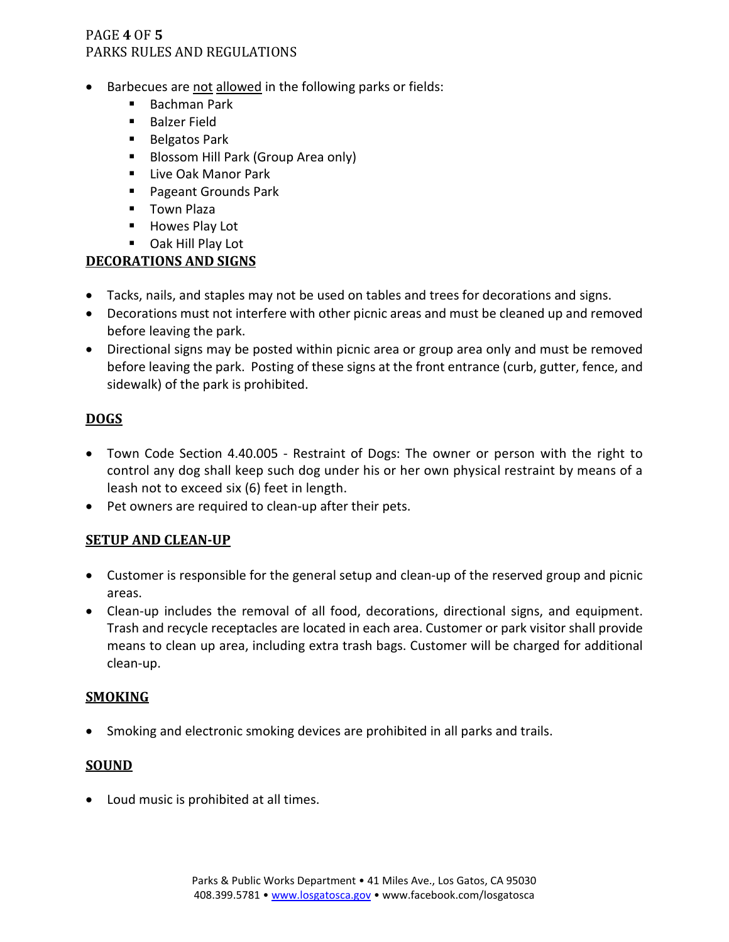## PAGE **4** OF **5** PARKS RULES AND REGULATIONS

- Barbecues are not allowed in the following parks or fields:
	- $\blacksquare$  Bachman Park
	- **Balzer Field**
	- Belgatos Park
	- **Blossom Hill Park (Group Area only)**
	- **Live Oak Manor Park**
	- Pageant Grounds Park
	- **Town Plaza**
	- **Howes Play Lot**
	- Oak Hill Play Lot

## **DECORATIONS AND SIGNS**

- Tacks, nails, and staples may not be used on tables and trees for decorations and signs.
- Decorations must not interfere with other picnic areas and must be cleaned up and removed before leaving the park.
- Directional signs may be posted within picnic area or group area only and must be removed before leaving the park. Posting of these signs at the front entrance (curb, gutter, fence, and sidewalk) of the park is prohibited.

## **DOGS**

- Town Code Section 4.40.005 Restraint of Dogs: The owner or person with the right to control any dog shall keep such dog under his or her own physical restraint by means of a leash not to exceed six (6) feet in length.
- Pet owners are required to clean-up after their pets.

### **SETUP AND CLEAN-UP**

- Customer is responsible for the general setup and clean-up of the reserved group and picnic areas.
- Clean-up includes the removal of all food, decorations, directional signs, and equipment. Trash and recycle receptacles are located in each area. Customer or park visitor shall provide means to clean up area, including extra trash bags. Customer will be charged for additional clean-up.

### **SMOKING**

• Smoking and electronic smoking devices are prohibited in all parks and trails.

### **SOUND**

• Loud music is prohibited at all times.